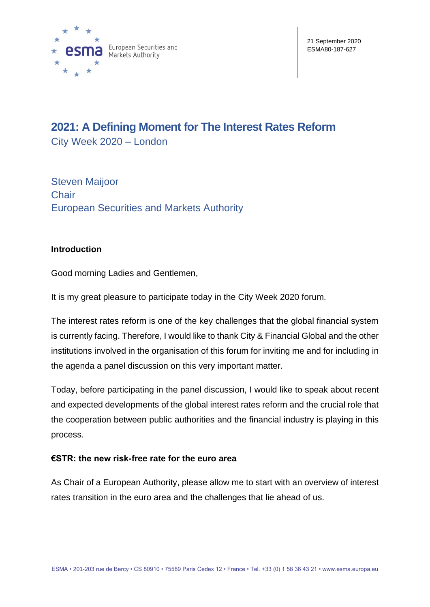

# **2021: A Defining Moment for The Interest Rates Reform**

City Week 2020 – London

Steven Maijoor **Chair** European Securities and Markets Authority

## **Introduction**

Good morning Ladies and Gentlemen,

It is my great pleasure to participate today in the City Week 2020 forum.

The interest rates reform is one of the key challenges that the global financial system is currently facing. Therefore, I would like to thank City & Financial Global and the other institutions involved in the organisation of this forum for inviting me and for including in the agenda a panel discussion on this very important matter.

Today, before participating in the panel discussion, I would like to speak about recent and expected developments of the global interest rates reform and the crucial role that the cooperation between public authorities and the financial industry is playing in this process.

### **€STR: the new risk-free rate for the euro area**

As Chair of a European Authority, please allow me to start with an overview of interest rates transition in the euro area and the challenges that lie ahead of us.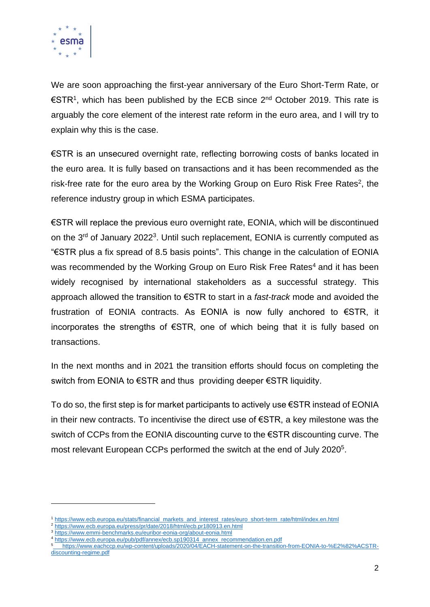

We are soon approaching the first-year anniversary of the Euro Short-Term Rate, or €STR<sup>1</sup>, which has been published by the ECB since 2<sup>nd</sup> October 2019. This rate is arguably the core element of the interest rate reform in the euro area, and I will try to explain why this is the case.

€STR is an unsecured overnight rate, reflecting borrowing costs of banks located in the euro area. It is fully based on transactions and it has been recommended as the risk-free rate for the euro area by the Working Group on Euro Risk Free Rates<sup>2</sup>, the reference industry group in which ESMA participates.

€STR will replace the previous euro overnight rate, EONIA, which will be discontinued on the  $3<sup>rd</sup>$  of January 2022<sup>3</sup>. Until such replacement, EONIA is currently computed as "€STR plus a fix spread of 8.5 basis points". This change in the calculation of EONIA was recommended by the Working Group on Euro Risk Free Rates<sup>4</sup> and it has been widely recognised by international stakeholders as a successful strategy. This approach allowed the transition to €STR to start in a *fast-track* mode and avoided the frustration of EONIA contracts. As EONIA is now fully anchored to €STR, it incorporates the strengths of €STR, one of which being that it is fully based on transactions.

In the next months and in 2021 the transition efforts should focus on completing the switch from EONIA to €STR and thus providing deeper €STR liquidity.

To do so, the first step is for market participants to actively use €STR instead of EONIA in their new contracts. To incentivise the direct use of €STR, a key milestone was the switch of CCPs from the EONIA discounting curve to the €STR discounting curve. The most relevant European CCPs performed the switch at the end of July 2020<sup>5</sup>.

<sup>1</sup> [https://www.ecb.europa.eu/stats/financial\\_markets\\_and\\_interest\\_rates/euro\\_short-term\\_rate/html/index.en.html](https://www.ecb.europa.eu/stats/financial_markets_and_interest_rates/euro_short-term_rate/html/index.en.html)

<sup>&</sup>lt;sup>2</sup> <https://www.ecb.europa.eu/press/pr/date/2018/html/ecb.pr180913.en.html>

<sup>3</sup> <https://www.emmi-benchmarks.eu/euribor-eonia-org/about-eonia.html>

<sup>4</sup> [https://www.ecb.europa.eu/pub/pdf/annex/ecb.sp190314\\_annex\\_recommendation.en.pdf](https://www.ecb.europa.eu/pub/pdf/annex/ecb.sp190314_annex_recommendation.en.pdf)

<sup>5</sup> [https://www.eachccp.eu/wp-content/uploads/2020/04/EACH-statement-on-the-transition-from-EONIA-to-%E2%82%ACSTR](https://www.eachccp.eu/wp-content/uploads/2020/04/EACH-statement-on-the-transition-from-EONIA-to-%E2%82%ACSTR-discounting-regime.pdf)[discounting-regime.pdf](https://www.eachccp.eu/wp-content/uploads/2020/04/EACH-statement-on-the-transition-from-EONIA-to-%E2%82%ACSTR-discounting-regime.pdf)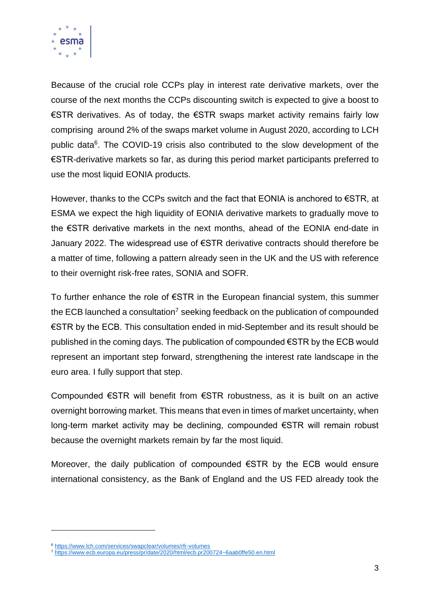

Because of the crucial role CCPs play in interest rate derivative markets, over the course of the next months the CCPs discounting switch is expected to give a boost to €STR derivatives. As of today, the €STR swaps market activity remains fairly low comprising around 2% of the swaps market volume in August 2020, according to LCH public data<sup>6</sup>. The COVID-19 crisis also contributed to the slow development of the €STR-derivative markets so far, as during this period market participants preferred to use the most liquid EONIA products.

However, thanks to the CCPs switch and the fact that EONIA is anchored to €STR, at ESMA we expect the high liquidity of EONIA derivative markets to gradually move to the €STR derivative markets in the next months, ahead of the EONIA end-date in January 2022. The widespread use of €STR derivative contracts should therefore be a matter of time, following a pattern already seen in the UK and the US with reference to their overnight risk-free rates, SONIA and SOFR.

To further enhance the role of €STR in the European financial system, this summer the ECB launched a consultation<sup>7</sup> seeking feedback on the publication of compounded €STR by the ECB. This consultation ended in mid-September and its result should be published in the coming days. The publication of compounded €STR by the ECB would represent an important step forward, strengthening the interest rate landscape in the euro area. I fully support that step.

Compounded €STR will benefit from €STR robustness, as it is built on an active overnight borrowing market. This means that even in times of market uncertainty, when long-term market activity may be declining, compounded €STR will remain robust because the overnight markets remain by far the most liquid.

Moreover, the daily publication of compounded €STR by the ECB would ensure international consistency, as the Bank of England and the US FED already took the

<sup>6</sup> <https://www.lch.com/services/swapclear/volumes/rfr-volumes>

<sup>7</sup> <https://www.ecb.europa.eu/press/pr/date/2020/html/ecb.pr200724~6aab0ffe50.en.html>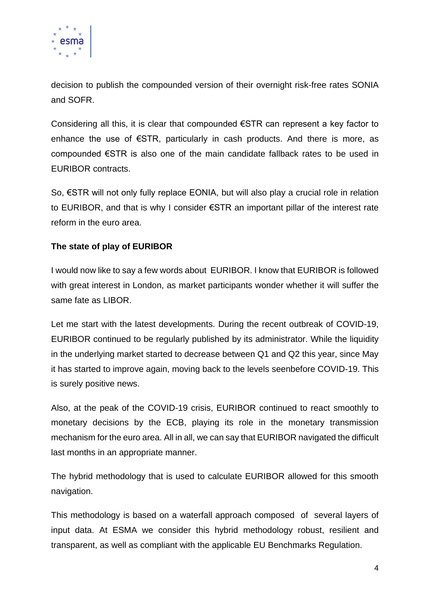

decision to publish the compounded version of their overnight risk-free rates SONIA and SOFR.

Considering all this, it is clear that compounded €STR can represent a key factor to enhance the use of €STR, particularly in cash products. And there is more, as compounded €STR is also one of the main candidate fallback rates to be used in EURIBOR contracts.

So, €STR will not only fully replace EONIA, but will also play a crucial role in relation to EURIBOR, and that is why I consider €STR an important pillar of the interest rate reform in the euro area.

## **The state of play of EURIBOR**

I would now like to say a few words about EURIBOR. I know that EURIBOR is followed with great interest in London, as market participants wonder whether it will suffer the same fate as LIBOR.

Let me start with the latest developments. During the recent outbreak of COVID-19, EURIBOR continued to be regularly published by its administrator. While the liquidity in the underlying market started to decrease between Q1 and Q2 this year, since May it has started to improve again, moving back to the levels seenbefore COVID-19. This is surely positive news.

Also, at the peak of the COVID-19 crisis, EURIBOR continued to react smoothly to monetary decisions by the ECB, playing its role in the monetary transmission mechanism for the euro area. All in all, we can say that EURIBOR navigated the difficult last months in an appropriate manner.

The hybrid methodology that is used to calculate EURIBOR allowed for this smooth navigation.

This methodology is based on a waterfall approach composed of several layers of input data. At ESMA we consider this hybrid methodology robust, resilient and transparent, as well as compliant with the applicable EU Benchmarks Regulation.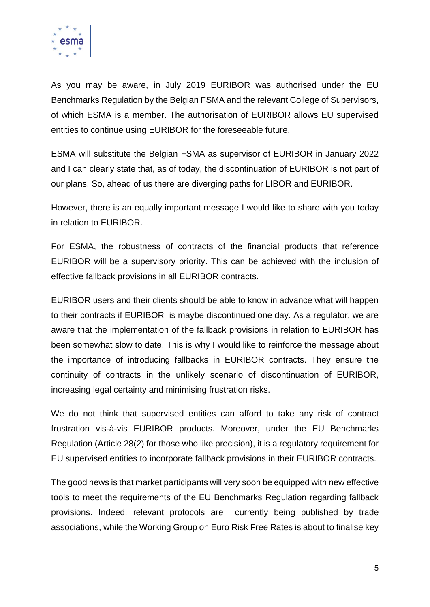

As you may be aware, in July 2019 EURIBOR was authorised under the EU Benchmarks Regulation by the Belgian FSMA and the relevant College of Supervisors, of which ESMA is a member. The authorisation of EURIBOR allows EU supervised entities to continue using EURIBOR for the foreseeable future.

ESMA will substitute the Belgian FSMA as supervisor of EURIBOR in January 2022 and I can clearly state that, as of today, the discontinuation of EURIBOR is not part of our plans. So, ahead of us there are diverging paths for LIBOR and EURIBOR.

However, there is an equally important message I would like to share with you today in relation to EURIBOR.

For ESMA, the robustness of contracts of the financial products that reference EURIBOR will be a supervisory priority. This can be achieved with the inclusion of effective fallback provisions in all EURIBOR contracts.

EURIBOR users and their clients should be able to know in advance what will happen to their contracts if EURIBOR is maybe discontinued one day. As a regulator, we are aware that the implementation of the fallback provisions in relation to EURIBOR has been somewhat slow to date. This is why I would like to reinforce the message about the importance of introducing fallbacks in EURIBOR contracts. They ensure the continuity of contracts in the unlikely scenario of discontinuation of EURIBOR, increasing legal certainty and minimising frustration risks.

We do not think that supervised entities can afford to take any risk of contract frustration vis-à-vis EURIBOR products. Moreover, under the EU Benchmarks Regulation (Article 28(2) for those who like precision), it is a regulatory requirement for EU supervised entities to incorporate fallback provisions in their EURIBOR contracts.

The good news is that market participants will very soon be equipped with new effective tools to meet the requirements of the EU Benchmarks Regulation regarding fallback provisions. Indeed, relevant protocols are currently being published by trade associations, while the Working Group on Euro Risk Free Rates is about to finalise key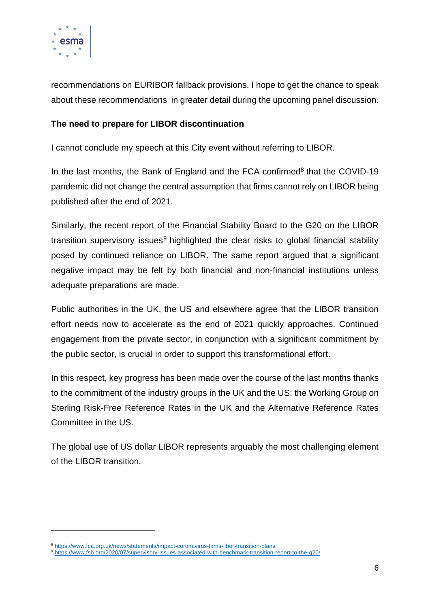

recommendations on EURIBOR fallback provisions. I hope to get the chance to speak about these recommendations in greater detail during the upcoming panel discussion.

### **The need to prepare for LIBOR discontinuation**

I cannot conclude my speech at this City event without referring to LIBOR.

In the last months, the Bank of England and the FCA confirmed $8$  that the COVID-19 pandemic did not change the central assumption that firms cannot rely on LIBOR being published after the end of 2021.

Similarly, the recent report of the Financial Stability Board to the G20 on the LIBOR transition supervisory issues<sup>9</sup> highlighted the clear risks to global financial stability posed by continued reliance on LIBOR. The same report argued that a significant negative impact may be felt by both financial and non-financial institutions unless adequate preparations are made.

Public authorities in the UK, the US and elsewhere agree that the LIBOR transition effort needs now to accelerate as the end of 2021 quickly approaches. Continued engagement from the private sector, in conjunction with a significant commitment by the public sector, is crucial in order to support this transformational effort.

In this respect, key progress has been made over the course of the last months thanks to the commitment of the industry groups in the UK and the US: the Working Group on Sterling Risk-Free Reference Rates in the UK and the Alternative Reference Rates Committee in the US.

The global use of US dollar LIBOR represents arguably the most challenging element of the LIBOR transition.

<sup>8</sup> <https://www.fca.org.uk/news/statements/impact-coronavirus-firms-libor-transition-plans>

<sup>9</sup> <https://www.fsb.org/2020/07/supervisory-issues-associated-with-benchmark-transition-report-to-the-g20/>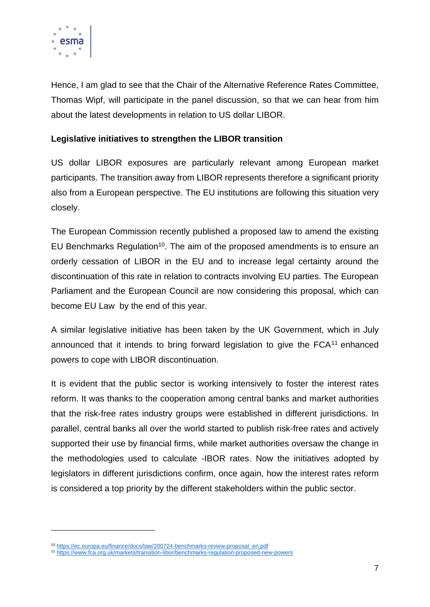

Hence, I am glad to see that the Chair of the Alternative Reference Rates Committee, Thomas Wipf, will participate in the panel discussion, so that we can hear from him about the latest developments in relation to US dollar LIBOR.

### **Legislative initiatives to strengthen the LIBOR transition**

US dollar LIBOR exposures are particularly relevant among European market participants. The transition away from LIBOR represents therefore a significant priority also from a European perspective. The EU institutions are following this situation very closely.

The European Commission recently published a proposed law to amend the existing EU Benchmarks Regulation<sup>10</sup>. The aim of the proposed amendments is to ensure an orderly cessation of LIBOR in the EU and to increase legal certainty around the discontinuation of this rate in relation to contracts involving EU parties. The European Parliament and the European Council are now considering this proposal, which can become EU Law by the end of this year.

A similar legislative initiative has been taken by the UK Government, which in July announced that it intends to bring forward legislation to give the FCA<sup>11</sup> enhanced powers to cope with LIBOR discontinuation.

It is evident that the public sector is working intensively to foster the interest rates reform. It was thanks to the cooperation among central banks and market authorities that the risk-free rates industry groups were established in different jurisdictions. In parallel, central banks all over the world started to publish risk-free rates and actively supported their use by financial firms, while market authorities oversaw the change in the methodologies used to calculate -IBOR rates. Now the initiatives adopted by legislators in different jurisdictions confirm, once again, how the interest rates reform is considered a top priority by the different stakeholders within the public sector.

<sup>10</sup> [https://ec.europa.eu/finance/docs/law/200724-benchmarks-review-proposal\\_en.pdf](https://ec.europa.eu/finance/docs/law/200724-benchmarks-review-proposal_en.pdf)

<sup>11</sup> <https://www.fca.org.uk/markets/transition-libor/benchmarks-regulation-proposed-new-powers>